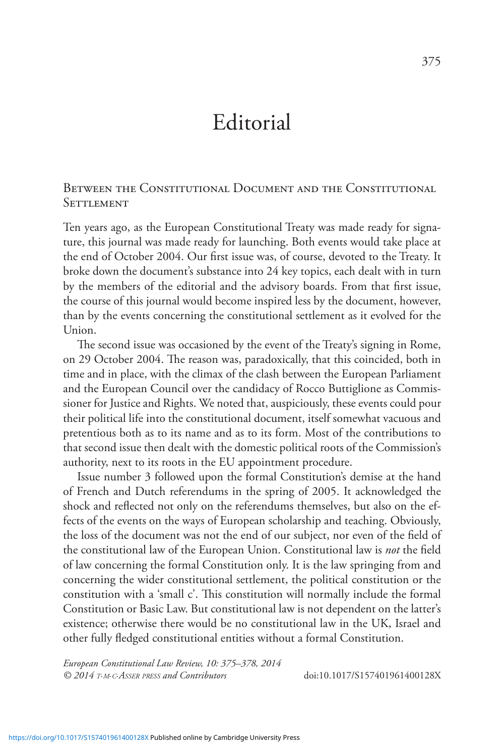## Editorial

Between the Constitutional Document and the Constitutional **SETTLEMENT** 

Ten years ago, as the European Constitutional Treaty was made ready for signature, this journal was made ready for launching. Both events would take place at the end of October 2004. Our first issue was, of course, devoted to the Treaty. It broke down the document's substance into 24 key topics, each dealt with in turn by the members of the editorial and the advisory boards. From that first issue, the course of this journal would become inspired less by the document, however, than by the events concerning the constitutional settlement as it evolved for the Union.

The second issue was occasioned by the event of the Treaty's signing in Rome, on 29 October 2004. The reason was, paradoxically, that this coincided, both in time and in place, with the climax of the clash between the European Parliament and the European Council over the candidacy of Rocco Buttiglione as Commissioner for Justice and Rights. We noted that, auspiciously, these events could pour their political life into the constitutional document, itself somewhat vacuous and pretentious both as to its name and as to its form. Most of the contributions to that second issue then dealt with the domestic political roots of the Commission's authority, next to its roots in the EU appointment procedure.

Issue number 3 followed upon the formal Constitution's demise at the hand of French and Dutch referendums in the spring of 2005. It acknowledged the shock and reflected not only on the referendums themselves, but also on the effects of the events on the ways of European scholarship and teaching. Obviously, the loss of the document was not the end of our subject, nor even of the field of the constitutional law of the European Union. Constitutional law is *not* the field of law concerning the formal Constitution only. It is the law springing from and concerning the wider constitutional settlement, the political constitution or the constitution with a 'small c'. This constitution will normally include the formal Constitution or Basic Law. But constitutional law is not dependent on the latter's existence; otherwise there would be no constitutional law in the UK, Israel and other fully fledged constitutional entities without a formal Constitution.

*European Constitutional Law Review, 10: 375–378, 2014 © 2014 t.m.c.Asser press and Contributors* doi:10.1017/S157401961400128X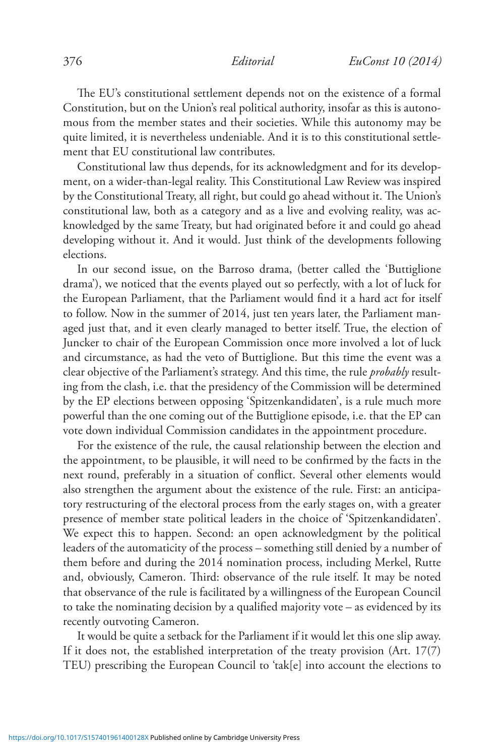The EU's constitutional settlement depends not on the existence of a formal Constitution, but on the Union's real political authority, insofar as this is autonomous from the member states and their societies. While this autonomy may be quite limited, it is nevertheless undeniable. And it is to this constitutional settlement that EU constitutional law contributes.

Constitutional law thus depends, for its acknowledgment and for its development, on a wider-than-legal reality. This Constitutional Law Review was inspired by the Constitutional Treaty, all right, but could go ahead without it. The Union's constitutional law, both as a category and as a live and evolving reality, was acknowledged by the same Treaty, but had originated before it and could go ahead developing without it. And it would. Just think of the developments following elections.

In our second issue, on the Barroso drama, (better called the 'Buttiglione drama'), we noticed that the events played out so perfectly, with a lot of luck for the European Parliament, that the Parliament would find it a hard act for itself to follow. Now in the summer of 2014, just ten years later, the Parliament managed just that, and it even clearly managed to better itself. True, the election of Juncker to chair of the European Commission once more involved a lot of luck and circumstance, as had the veto of Buttiglione. But this time the event was a clear objective of the Parliament's strategy. And this time, the rule *probably* resulting from the clash, i.e. that the presidency of the Commission will be determined by the EP elections between opposing 'Spitzenkandidaten', is a rule much more powerful than the one coming out of the Buttiglione episode, i.e. that the EP can vote down individual Commission candidates in the appointment procedure.

For the existence of the rule, the causal relationship between the election and the appointment, to be plausible, it will need to be confirmed by the facts in the next round, preferably in a situation of conflict. Several other elements would also strengthen the argument about the existence of the rule. First: an anticipatory restructuring of the electoral process from the early stages on, with a greater presence of member state political leaders in the choice of 'Spitzenkandidaten'. We expect this to happen. Second: an open acknowledgment by the political leaders of the automaticity of the process – something still denied by a number of them before and during the 2014 nomination process, including Merkel, Rutte and, obviously, Cameron. Third: observance of the rule itself. It may be noted that observance of the rule is facilitated by a willingness of the European Council to take the nominating decision by a qualified majority vote – as evidenced by its recently outvoting Cameron.

It would be quite a setback for the Parliament if it would let this one slip away. If it does not, the established interpretation of the treaty provision (Art. 17(7) TEU) prescribing the European Council to 'tak[e] into account the elections to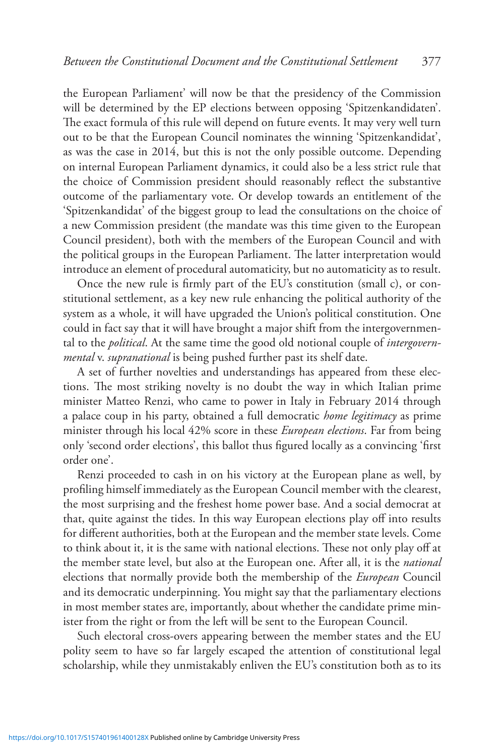the European Parliament' will now be that the presidency of the Commission will be determined by the EP elections between opposing 'Spitzenkandidaten'. The exact formula of this rule will depend on future events. It may very well turn out to be that the European Council nominates the winning 'Spitzenkandidat', as was the case in 2014, but this is not the only possible outcome. Depending on internal European Parliament dynamics, it could also be a less strict rule that the choice of Commission president should reasonably reflect the substantive outcome of the parliamentary vote. Or develop towards an entitlement of the 'Spitzenkandidat' of the biggest group to lead the consultations on the choice of a new Commission president (the mandate was this time given to the European Council president), both with the members of the European Council and with the political groups in the European Parliament. The latter interpretation would introduce an element of procedural automaticity, but no automaticity as to result.

Once the new rule is firmly part of the EU's constitution (small c), or constitutional settlement, as a key new rule enhancing the political authority of the system as a whole, it will have upgraded the Union's political constitution. One could in fact say that it will have brought a major shift from the intergovernmental to the *political*. At the same time the good old notional couple of *intergovernmental* v. *supranational* is being pushed further past its shelf date.

A set of further novelties and understandings has appeared from these elections. The most striking novelty is no doubt the way in which Italian prime minister Matteo Renzi, who came to power in Italy in February 2014 through a palace coup in his party, obtained a full democratic *home legitimacy* as prime minister through his local 42% score in these *European elections*. Far from being only 'second order elections', this ballot thus figured locally as a convincing 'first order one'.

Renzi proceeded to cash in on his victory at the European plane as well, by profiling himself immediately as the European Council member with the clearest, the most surprising and the freshest home power base. And a social democrat at that, quite against the tides. In this way European elections play off into results for different authorities, both at the European and the member state levels. Come to think about it, it is the same with national elections. These not only play off at the member state level, but also at the European one. After all, it is the *national* elections that normally provide both the membership of the *European* Council and its democratic underpinning. You might say that the parliamentary elections in most member states are, importantly, about whether the candidate prime minister from the right or from the left will be sent to the European Council.

Such electoral cross-overs appearing between the member states and the EU polity seem to have so far largely escaped the attention of constitutional legal scholarship, while they unmistakably enliven the EU's constitution both as to its